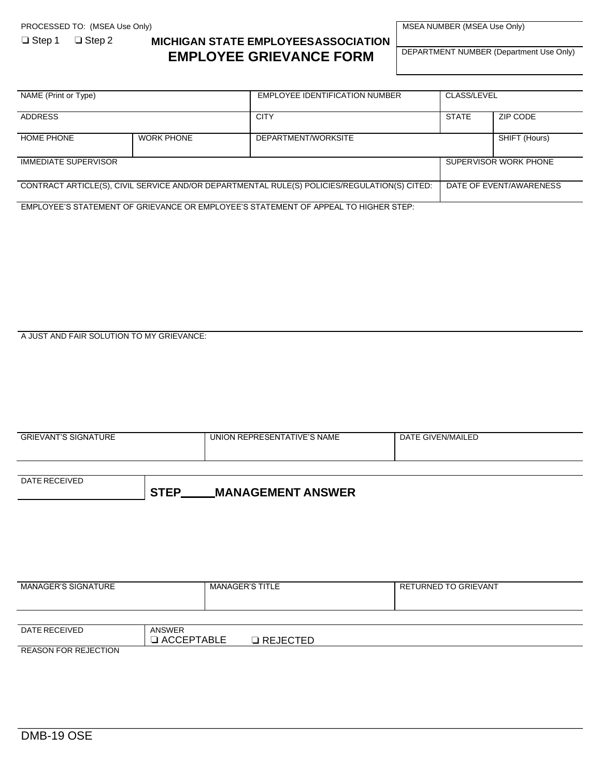## ❏ Step 1 ❏ Step 2 **MICHIGAN STATE EMPLOYEESASSOCIATION EMPLOYEE GRIEVANCE FORM**

MSEA NUMBER (MSEA Use Only)

DEPARTMENT NUMBER (Department Use Only)

| NAME (Print or Type)                                                                         |                   | EMPLOYEE IDENTIFICATION NUMBER | CLASS/LEVEL             |               |
|----------------------------------------------------------------------------------------------|-------------------|--------------------------------|-------------------------|---------------|
|                                                                                              |                   |                                |                         |               |
| <b>ADDRESS</b>                                                                               |                   | <b>CITY</b>                    | <b>STATE</b>            | ZIP CODE      |
|                                                                                              |                   |                                |                         |               |
|                                                                                              |                   |                                |                         |               |
| HOME PHONE                                                                                   | <b>WORK PHONE</b> | DEPARTMENT/WORKSITE            |                         | SHIFT (Hours) |
|                                                                                              |                   |                                |                         |               |
|                                                                                              |                   |                                |                         |               |
| <b>IMMEDIATE SUPERVISOR</b>                                                                  |                   |                                | SUPERVISOR WORK PHONE   |               |
|                                                                                              |                   |                                |                         |               |
|                                                                                              |                   |                                |                         |               |
| CONTRACT ARTICLE(S), CIVIL SERVICE AND/OR DEPARTMENTAL RULE(S) POLICIES/REGULATION(S) CITED: |                   |                                | DATE OF EVENT/AWARENESS |               |
|                                                                                              |                   |                                |                         |               |
|                                                                                              |                   |                                |                         |               |
|                                                                                              |                   |                                |                         |               |

EMPLOYEE'S STATEMENT OF GRIEVANCE OR EMPLOYEE'S STATEMENT OF APPEAL TO HIGHER STEP:

A JUST AND FAIR SOLUTION TO MY GRIEVANCE:

| <b>GRIEVANT'S SIGNATURE</b> | UNION REPRESENTATIVE'S NAME | DATE GIVEN/MAILED |
|-----------------------------|-----------------------------|-------------------|
|                             |                             |                   |

| <b>DATE RECEIVED</b> |                                  |                          |  |
|----------------------|----------------------------------|--------------------------|--|
|                      | $\rightarrow$<br>. .<br><u>.</u> | <b>MANAGEMENT ANSWER</b> |  |

| MANAGER'S SIGNATURE |                                    | MANAGER'S TITLE     | RETURNED TO GRIEVANT |
|---------------------|------------------------------------|---------------------|----------------------|
|                     |                                    |                     |                      |
| DATE RECEIVED       | <b>ANSWER</b><br>$\Box$ ACCEPTABLE | $\square$ REJECTED. |                      |

REASON FOR REJECTION